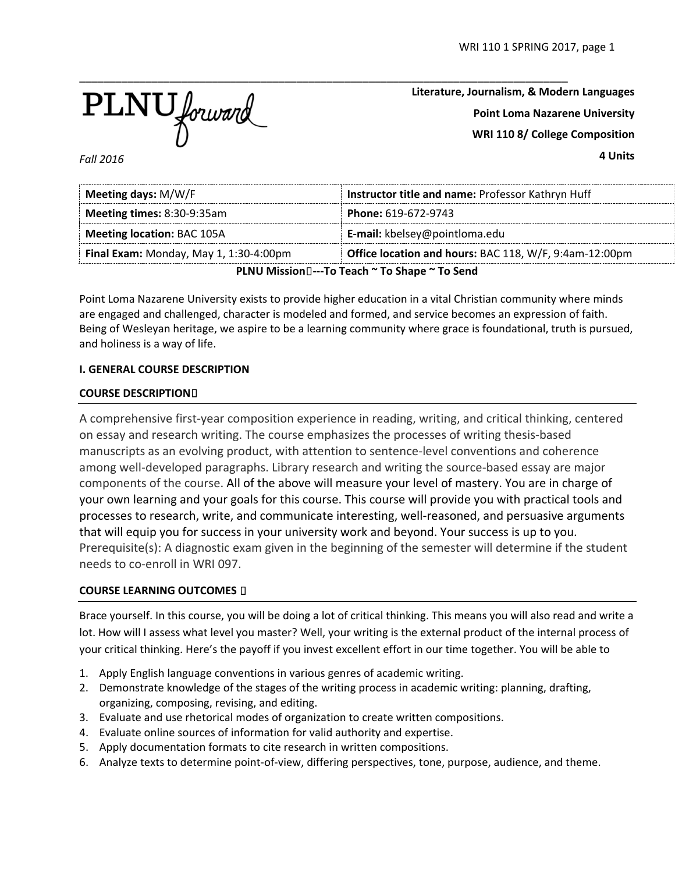

**Literature, Journalism, & Modern Languages Point Loma Nazarene University WRI 110 8/ College Composition**

**4 Units**

*Fall 2016*

| Meeting days: M/W/F                                | Instructor title and name: Professor Kathryn Huff      |  |  |  |  |
|----------------------------------------------------|--------------------------------------------------------|--|--|--|--|
| Meeting times: 8:30-9:35am                         | Phone: 619-672-9743                                    |  |  |  |  |
| <b>Meeting location: BAC 105A</b>                  | E-mail: kbelsey@pointloma.edu                          |  |  |  |  |
| Final Exam: Monday, May 1, 1:30-4:00pm             | Office location and hours: BAC 118, W/F, 9:4am-12:00pm |  |  |  |  |
| DIAULA Alesia e Francesco N. Ta Chausa N. Ta Canal |                                                        |  |  |  |  |

**PLNU Mission**⍟**---To Teach ~ To Shape ~ To Send**

Point Loma Nazarene University exists to provide higher education in a vital Christian community where minds are engaged and challenged, character is modeled and formed, and service becomes an expression of faith. Being of Wesleyan heritage, we aspire to be a learning community where grace is foundational, truth is pursued, and holiness is a way of life.

# **I. GENERAL COURSE DESCRIPTION**

# **COURSE DESCRIPTION**⍟

A comprehensive first-year composition experience in reading, writing, and critical thinking, centered on essay and research writing. The course emphasizes the processes of writing thesis-based manuscripts as an evolving product, with attention to sentence-level conventions and coherence among well-developed paragraphs. Library research and writing the source-based essay are major components of the course. All of the above will measure your level of mastery. You are in charge of your own learning and your goals for this course. This course will provide you with practical tools and processes to research, write, and communicate interesting, well-reasoned, and persuasive arguments that will equip you for success in your university work and beyond. Your success is up to you. Prerequisite(s): A diagnostic exam given in the beginning of the semester will determine if the student needs to co-enroll in WRI 097.

# **COURSE LEARNING OUTCOMES D**

Brace yourself. In this course, you will be doing a lot of critical thinking. This means you will also read and write a lot. How will I assess what level you master? Well, your writing is the external product of the internal process of your critical thinking. Here's the payoff if you invest excellent effort in our time together. You will be able to

- 1. Apply English language conventions in various genres of academic writing.
- 2. Demonstrate knowledge of the stages of the writing process in academic writing: planning, drafting, organizing, composing, revising, and editing.
- 3. Evaluate and use rhetorical modes of organization to create written compositions.
- 4. Evaluate online sources of information for valid authority and expertise.
- 5. Apply documentation formats to cite research in written compositions.
- 6. Analyze texts to determine point-of-view, differing perspectives, tone, purpose, audience, and theme.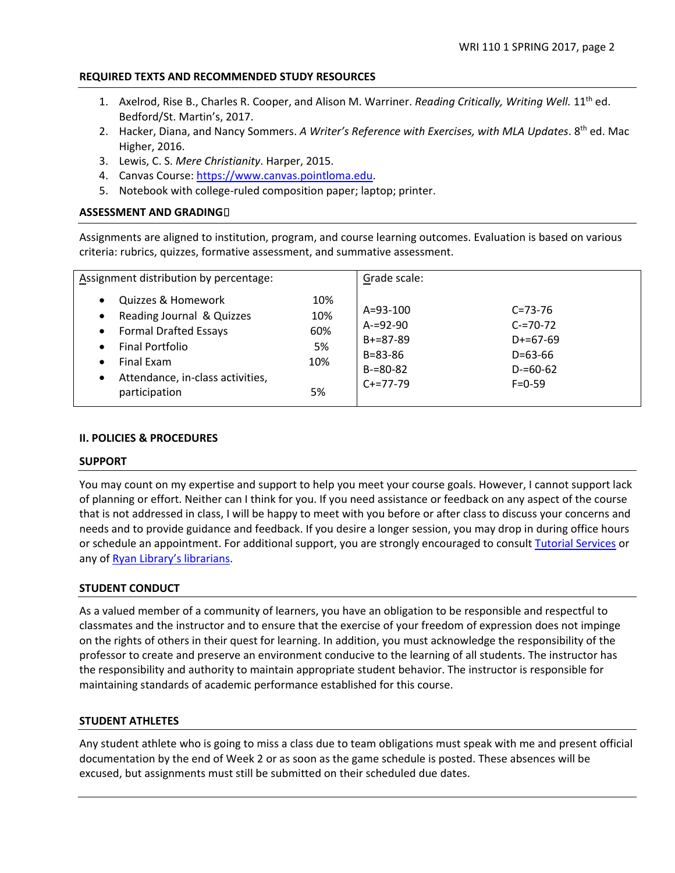# **REQUIRED TEXTS AND RECOMMENDED STUDY RESOURCES**

- 1. Axelrod, Rise B., Charles R. Cooper, and Alison M. Warriner. *Reading Critically, Writing Well.* 11th ed. Bedford/St. Martin's, 2017.
- 2. Hacker, Diana, and Nancy Sommers. *A Writer's Reference with Exercises, with MLA Updates*. 8th ed. Mac Higher, 2016.
- 3. Lewis, C. S. *Mere Christianity*. Harper, 2015.
- 4. Canvas Course: [https://www.canvas.pointloma.edu.](https://www.canvas.pointloma.edu/)
- 5. Notebook with college-ruled composition paper; laptop; printer.

# **ASSESSMENT AND GRADING**<sup>0</sup>

Assignments are aligned to institution, program, and course learning outcomes. Evaluation is based on various criteria: rubrics, quizzes, formative assessment, and summative assessment.

| Assignment distribution by percentage:                                                                                                                                                                                                                     |                                      | Grade scale:                                                                            |                                                                                            |
|------------------------------------------------------------------------------------------------------------------------------------------------------------------------------------------------------------------------------------------------------------|--------------------------------------|-----------------------------------------------------------------------------------------|--------------------------------------------------------------------------------------------|
| Quizzes & Homework<br>$\bullet$<br>Reading Journal & Quizzes<br>$\bullet$<br><b>Formal Drafted Essays</b><br>$\bullet$<br><b>Final Portfolio</b><br>$\bullet$<br>Final Exam<br>$\bullet$<br>Attendance, in-class activities,<br>$\bullet$<br>participation | 10%<br>10%<br>60%<br>5%<br>10%<br>5% | A=93-100<br>$A = 92 - 90$<br>$B+=87-89$<br>$B = 83 - 86$<br>$B = 80 - 82$<br>$C+=77-79$ | $C = 73 - 76$<br>$C = 70 - 72$<br>$D+=67-69$<br>$D=63-66$<br>$D = 60 - 62$<br>$F = 0 - 59$ |

### **II. POLICIES & PROCEDURES**

### **SUPPORT**

You may count on my expertise and support to help you meet your course goals. However, I cannot support lack of planning or effort. Neither can I think for you. If you need assistance or feedback on any aspect of the course that is not addressed in class, I will be happy to meet with you before or after class to discuss your concerns and needs and to provide guidance and feedback. If you desire a longer session, you may drop in during office hours or schedule an appointment. For additional support, you are strongly encouraged to consult [Tutorial Services](http://www.pointloma.edu/experience/offices/student-services/tutorial-services/services) or any of [Ryan Library's librarians.](http://www.pointloma.edu/ryanlibrary)

### **STUDENT CONDUCT**

As a valued member of a community of learners, you have an obligation to be responsible and respectful to classmates and the instructor and to ensure that the exercise of your freedom of expression does not impinge on the rights of others in their quest for learning. In addition, you must acknowledge the responsibility of the professor to create and preserve an environment conducive to the learning of all students. The instructor has the responsibility and authority to maintain appropriate student behavior. The instructor is responsible for maintaining standards of academic performance established for this course.

### **STUDENT ATHLETES**

Any student athlete who is going to miss a class due to team obligations must speak with me and present official documentation by the end of Week 2 or as soon as the game schedule is posted. These absences will be excused, but assignments must still be submitted on their scheduled due dates.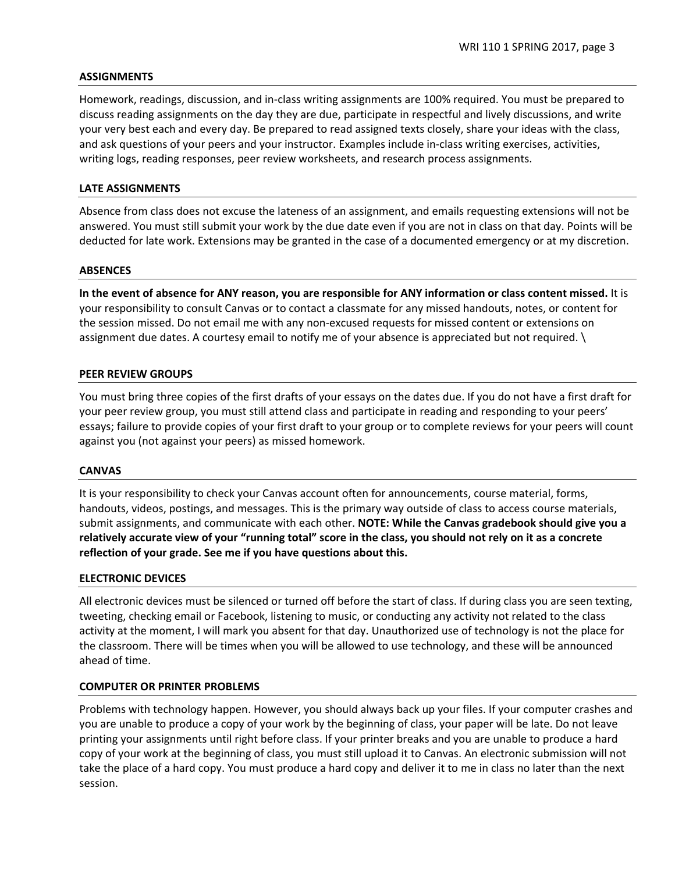### **ASSIGNMENTS**

Homework, readings, discussion, and in-class writing assignments are 100% required. You must be prepared to discuss reading assignments on the day they are due, participate in respectful and lively discussions, and write your very best each and every day. Be prepared to read assigned texts closely, share your ideas with the class, and ask questions of your peers and your instructor. Examples include in-class writing exercises, activities, writing logs, reading responses, peer review worksheets, and research process assignments.

### **LATE ASSIGNMENTS**

Absence from class does not excuse the lateness of an assignment, and emails requesting extensions will not be answered. You must still submit your work by the due date even if you are not in class on that day. Points will be deducted for late work. Extensions may be granted in the case of a documented emergency or at my discretion.

#### **ABSENCES**

**In the event of absence for ANY reason, you are responsible for ANY information or class content missed.** It is your responsibility to consult Canvas or to contact a classmate for any missed handouts, notes, or content for the session missed. Do not email me with any non-excused requests for missed content or extensions on assignment due dates. A courtesy email to notify me of your absence is appreciated but not required. \

#### **PEER REVIEW GROUPS**

You must bring three copies of the first drafts of your essays on the dates due. If you do not have a first draft for your peer review group, you must still attend class and participate in reading and responding to your peers' essays; failure to provide copies of your first draft to your group or to complete reviews for your peers will count against you (not against your peers) as missed homework.

#### **CANVAS**

It is your responsibility to check your Canvas account often for announcements, course material, forms, handouts, videos, postings, and messages. This is the primary way outside of class to access course materials, submit assignments, and communicate with each other. **NOTE: While the Canvas gradebook should give you a relatively accurate view of your "running total" score in the class, you should not rely on it as a concrete reflection of your grade. See me if you have questions about this.**

### **ELECTRONIC DEVICES**

All electronic devices must be silenced or turned off before the start of class. If during class you are seen texting, tweeting, checking email or Facebook, listening to music, or conducting any activity not related to the class activity at the moment, I will mark you absent for that day. Unauthorized use of technology is not the place for the classroom. There will be times when you will be allowed to use technology, and these will be announced ahead of time.

### **COMPUTER OR PRINTER PROBLEMS**

Problems with technology happen. However, you should always back up your files. If your computer crashes and you are unable to produce a copy of your work by the beginning of class, your paper will be late. Do not leave printing your assignments until right before class. If your printer breaks and you are unable to produce a hard copy of your work at the beginning of class, you must still upload it to Canvas. An electronic submission will not take the place of a hard copy. You must produce a hard copy and deliver it to me in class no later than the next session.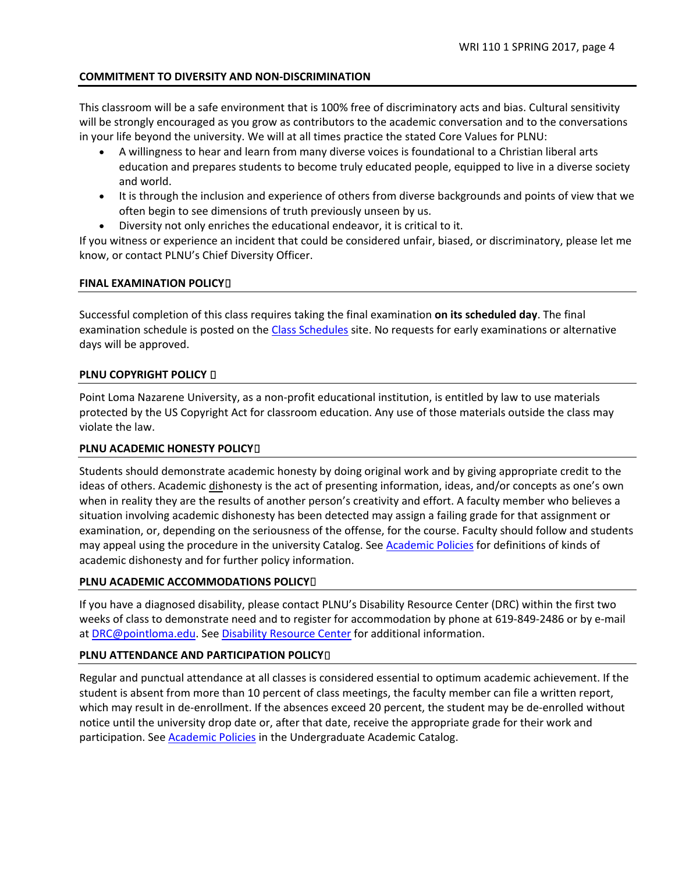# **COMMITMENT TO DIVERSITY AND NON-DISCRIMINATION**

This classroom will be a safe environment that is 100% free of discriminatory acts and bias. Cultural sensitivity will be strongly encouraged as you grow as contributors to the academic conversation and to the conversations in your life beyond the university. We will at all times practice the stated Core Values for PLNU:

- A willingness to hear and learn from many diverse voices is foundational to a Christian liberal arts education and prepares students to become truly educated people, equipped to live in a diverse society and world.
- It is through the inclusion and experience of others from diverse backgrounds and points of view that we often begin to see dimensions of truth previously unseen by us.
- Diversity not only enriches the educational endeavor, it is critical to it.

If you witness or experience an incident that could be considered unfair, biased, or discriminatory, please let me know, or contact PLNU's Chief Diversity Officer.

# **FINAL EXAMINATION POLICY**<sup>[]</sup>

Successful completion of this class requires taking the final examination **on its scheduled day**. The final examination schedule is posted on the [Class Schedules](http://www.pointloma.edu/experience/academics/class-schedules) site. No requests for early examinations or alternative days will be approved.

# **PLNU COPYRIGHT POLICY D**

Point Loma Nazarene University, as a non-profit educational institution, is entitled by law to use materials protected by the US Copyright Act for classroom education. Any use of those materials outside the class may violate the law.

# **PLNU ACADEMIC HONESTY POLICY**<sup>O</sup>

Students should demonstrate academic honesty by doing original work and by giving appropriate credit to the ideas of others. Academic dishonesty is the act of presenting information, ideas, and/or concepts as one's own when in reality they are the results of another person's creativity and effort. A faculty member who believes a situation involving academic dishonesty has been detected may assign a failing grade for that assignment or examination, or, depending on the seriousness of the offense, for the course. Faculty should follow and students may appeal using the procedure in the university Catalog. See **Academic Policies** for definitions of kinds of academic dishonesty and for further policy information.

### **PLNU ACADEMIC ACCOMMODATIONS POLICY**<sup>[]</sup>

If you have a diagnosed disability, please contact PLNU's Disability Resource Center (DRC) within the first two weeks of class to demonstrate need and to register for accommodation by phone at 619-849-2486 or by e-mail at [DRC@pointloma.edu.](mailto:DRC@pointloma.edu) See [Disability Resource Center](http://www.pointloma.edu/experience/offices/administrative-offices/academic-advising-office/disability-resource-center) for additional information.

### **PLNU ATTENDANCE AND PARTICIPATION POLICY**<sup>[]</sup>

Regular and punctual attendance at all classes is considered essential to optimum academic achievement. If the student is absent from more than 10 percent of class meetings, the faculty member can file a written report, which may result in de-enrollment. If the absences exceed 20 percent, the student may be de-enrolled without notice until the university drop date or, after that date, receive the appropriate grade for their work and participation. See [Academic Policies](http://catalog.pointloma.edu/content.php?catoid=18&navoid=1278) in the Undergraduate Academic Catalog.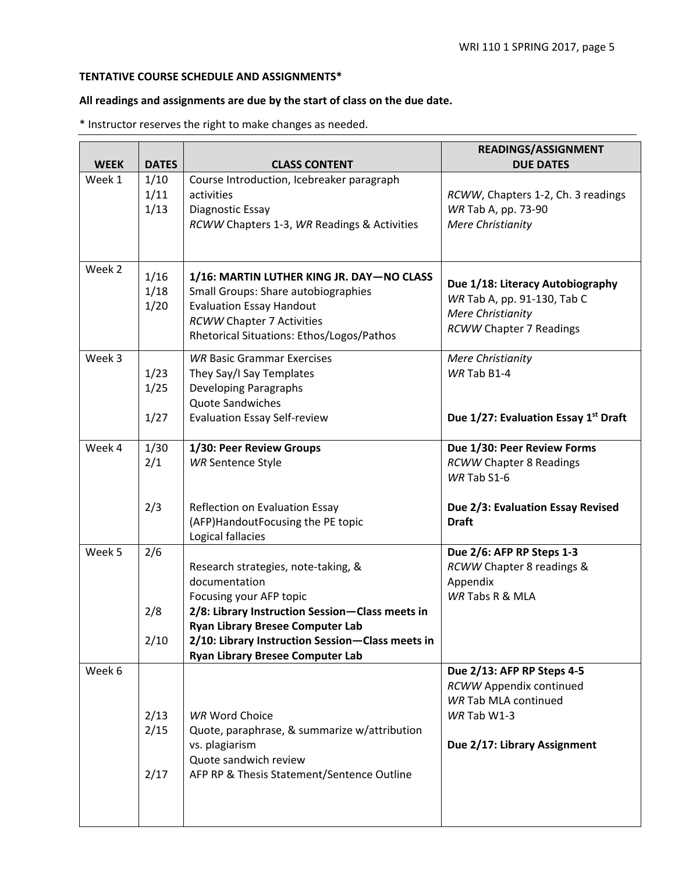# **TENTATIVE COURSE SCHEDULE AND ASSIGNMENTS\***

# **All readings and assignments are due by the start of class on the due date.**

\* Instructor reserves the right to make changes as needed.

| <b>WEEK</b> | <b>DATES</b> | <b>CLASS CONTENT</b>                             | READINGS/ASSIGNMENT<br><b>DUE DATES</b> |
|-------------|--------------|--------------------------------------------------|-----------------------------------------|
| Week 1      | 1/10         | Course Introduction, Icebreaker paragraph        |                                         |
|             | 1/11         | activities                                       | RCWW, Chapters 1-2, Ch. 3 readings      |
|             | 1/13         | Diagnostic Essay                                 | WR Tab A, pp. 73-90                     |
|             |              | RCWW Chapters 1-3, WR Readings & Activities      | Mere Christianity                       |
|             |              |                                                  |                                         |
|             |              |                                                  |                                         |
| Week 2      |              | 1/16: MARTIN LUTHER KING JR. DAY-NO CLASS        |                                         |
|             | 1/16<br>1/18 | Small Groups: Share autobiographies              | Due 1/18: Literacy Autobiography        |
|             | 1/20         | <b>Evaluation Essay Handout</b>                  | WR Tab A, pp. 91-130, Tab C             |
|             |              | <b>RCWW Chapter 7 Activities</b>                 | <b>Mere Christianity</b>                |
|             |              | Rhetorical Situations: Ethos/Logos/Pathos        | <b>RCWW Chapter 7 Readings</b>          |
|             |              |                                                  |                                         |
| Week 3      |              | <b>WR Basic Grammar Exercises</b>                | <b>Mere Christianity</b>                |
|             | 1/23         | They Say/I Say Templates                         | WR Tab B1-4                             |
|             | 1/25         | Developing Paragraphs                            |                                         |
|             |              | Quote Sandwiches                                 |                                         |
|             | 1/27         | <b>Evaluation Essay Self-review</b>              | Due 1/27: Evaluation Essay 1st Draft    |
| Week 4      | 1/30         | 1/30: Peer Review Groups                         | Due 1/30: Peer Review Forms             |
|             | 2/1          | <b>WR Sentence Style</b>                         | <b>RCWW Chapter 8 Readings</b>          |
|             |              |                                                  | WR Tab S1-6                             |
|             |              |                                                  |                                         |
|             | 2/3          | Reflection on Evaluation Essay                   | Due 2/3: Evaluation Essay Revised       |
|             |              | (AFP) Handout Focusing the PE topic              | <b>Draft</b>                            |
|             |              | Logical fallacies                                |                                         |
| Week 5      | 2/6          |                                                  | Due 2/6: AFP RP Steps 1-3               |
|             |              | Research strategies, note-taking, &              | RCWW Chapter 8 readings &               |
|             |              | documentation                                    | Appendix                                |
|             |              | Focusing your AFP topic                          | WR Tabs R & MLA                         |
|             | 2/8          | 2/8: Library Instruction Session-Class meets in  |                                         |
|             |              | <b>Ryan Library Bresee Computer Lab</b>          |                                         |
|             | 2/10         | 2/10: Library Instruction Session-Class meets in |                                         |
|             |              | <b>Ryan Library Bresee Computer Lab</b>          |                                         |
| Week 6      |              |                                                  | Due 2/13: AFP RP Steps 4-5              |
|             |              |                                                  | RCWW Appendix continued                 |
|             |              |                                                  | WR Tab MLA continued                    |
|             | 2/13         | <b>WR Word Choice</b>                            | WR Tab W1-3                             |
|             | 2/15         | Quote, paraphrase, & summarize w/attribution     |                                         |
|             |              | vs. plagiarism                                   | Due 2/17: Library Assignment            |
|             |              | Quote sandwich review                            |                                         |
|             | 2/17         | AFP RP & Thesis Statement/Sentence Outline       |                                         |
|             |              |                                                  |                                         |
|             |              |                                                  |                                         |
|             |              |                                                  |                                         |